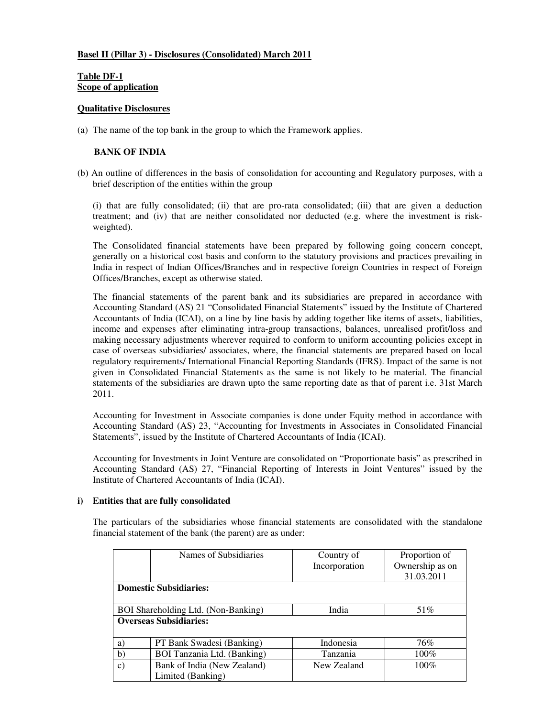# **Basel II (Pillar 3) - Disclosures (Consolidated) March 2011**

# **Table DF-1 Scope of application**

# **Qualitative Disclosures**

(a) The name of the top bank in the group to which the Framework applies.

# **BANK OF INDIA**

(b) An outline of differences in the basis of consolidation for accounting and Regulatory purposes, with a brief description of the entities within the group

(i) that are fully consolidated; (ii) that are pro-rata consolidated; (iii) that are given a deduction treatment; and (iv) that are neither consolidated nor deducted (e.g. where the investment is riskweighted).

The Consolidated financial statements have been prepared by following going concern concept, generally on a historical cost basis and conform to the statutory provisions and practices prevailing in India in respect of Indian Offices/Branches and in respective foreign Countries in respect of Foreign Offices/Branches, except as otherwise stated.

The financial statements of the parent bank and its subsidiaries are prepared in accordance with Accounting Standard (AS) 21 "Consolidated Financial Statements" issued by the Institute of Chartered Accountants of India (ICAI), on a line by line basis by adding together like items of assets, liabilities, income and expenses after eliminating intra-group transactions, balances, unrealised profit/loss and making necessary adjustments wherever required to conform to uniform accounting policies except in case of overseas subsidiaries/ associates, where, the financial statements are prepared based on local regulatory requirements/ International Financial Reporting Standards (IFRS). Impact of the same is not given in Consolidated Financial Statements as the same is not likely to be material. The financial statements of the subsidiaries are drawn upto the same reporting date as that of parent i.e. 31st March 2011.

Accounting for Investment in Associate companies is done under Equity method in accordance with Accounting Standard (AS) 23, "Accounting for Investments in Associates in Consolidated Financial Statements", issued by the Institute of Chartered Accountants of India (ICAI).

Accounting for Investments in Joint Venture are consolidated on "Proportionate basis" as prescribed in Accounting Standard (AS) 27, "Financial Reporting of Interests in Joint Ventures" issued by the Institute of Chartered Accountants of India (ICAI).

# **i) Entities that are fully consolidated**

The particulars of the subsidiaries whose financial statements are consolidated with the standalone financial statement of the bank (the parent) are as under:

|                               | Names of Subsidiaries               | Country of    | Proportion of   |
|-------------------------------|-------------------------------------|---------------|-----------------|
|                               |                                     | Incorporation | Ownership as on |
|                               |                                     |               | 31.03.2011      |
|                               | <b>Domestic Subsidiaries:</b>       |               |                 |
|                               |                                     |               |                 |
|                               | BOI Shareholding Ltd. (Non-Banking) | India         | 51%             |
| <b>Overseas Subsidiaries:</b> |                                     |               |                 |
|                               |                                     |               |                 |
| a)                            | PT Bank Swadesi (Banking)           | Indonesia     | 76%             |
| b)                            | BOI Tanzania Ltd. (Banking)         | Tanzania      | $100\%$         |
| C)                            | Bank of India (New Zealand)         | New Zealand   | $100\%$         |
|                               | Limited (Banking)                   |               |                 |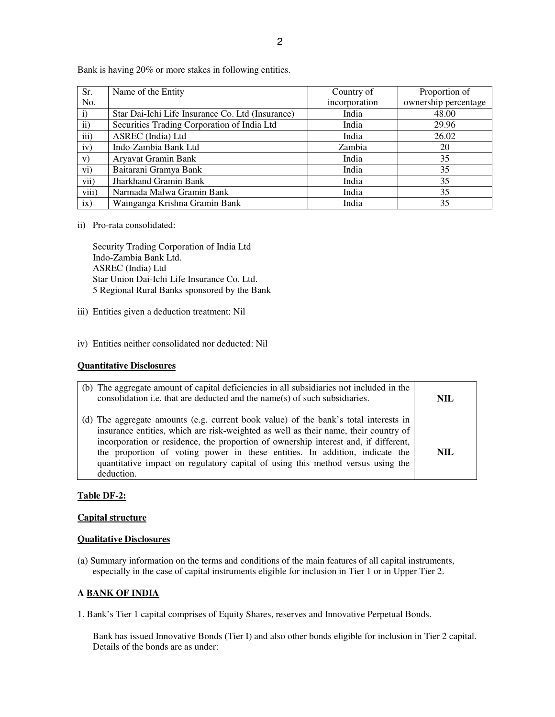| Sr.          | Name of the Entity                               | Country of    | Proportion of        |
|--------------|--------------------------------------------------|---------------|----------------------|
| No.          |                                                  | incorporation | ownership percentage |
| $\mathbf{i}$ | Star Dai-Ichi Life Insurance Co. Ltd (Insurance) | India         | 48.00                |
| $\rm ii)$    | Securities Trading Corporation of India Ltd      | India         | 29.96                |
| iii)         | ASREC (India) Ltd                                | India         | 26.02                |
| iv)          | Indo-Zambia Bank Ltd                             | Zambia        | 20                   |
| V)           | Aryavat Gramin Bank                              | India         | 35                   |
| vi)          | Baitarani Gramya Bank                            | India         | 35                   |
| vii)         | <b>Jharkhand Gramin Bank</b>                     | India         | 35                   |
| viii)        | Narmada Malwa Gramin Bank                        | India         | 35                   |
| ix)          | Wainganga Krishna Gramin Bank                    | India         | 35                   |

Bank is having 20% or more stakes in following entities.

ii) Pro-rata consolidated:

Security Trading Corporation of India Ltd Indo-Zambia Bank Ltd. ASREC (India) Ltd Star Union Dai-Ichi Life Insurance Co. Ltd. 5 Regional Rural Banks sponsored by the Bank

- iii) Entities given a deduction treatment: Nil
- iv) Entities neither consolidated nor deducted: Nil

# **Quantitative Disclosures**

| (b) The aggregate amount of capital deficiencies in all subsidiaries not included in the<br>consolidation <i>i.e.</i> that are deducted and the name(s) of such subsidiaries.                                                                                                                                                                                                                                                                      | <b>NIL</b> |
|----------------------------------------------------------------------------------------------------------------------------------------------------------------------------------------------------------------------------------------------------------------------------------------------------------------------------------------------------------------------------------------------------------------------------------------------------|------------|
| (d) The aggregate amounts (e.g. current book value) of the bank's total interests in<br>insurance entities, which are risk-weighted as well as their name, their country of<br>incorporation or residence, the proportion of ownership interest and, if different,<br>the proportion of voting power in these entities. In addition, indicate the<br>quantitative impact on regulatory capital of using this method versus using the<br>deduction. | NIL        |

# **Table DF-2:**

### **Capital structure**

#### **Qualitative Disclosures**

(a) Summary information on the terms and conditions of the main features of all capital instruments, especially in the case of capital instruments eligible for inclusion in Tier 1 or in Upper Tier 2.

# **A BANK OF INDIA**

1. Bank's Tier 1 capital comprises of Equity Shares, reserves and Innovative Perpetual Bonds.

Bank has issued Innovative Bonds (Tier I) and also other bonds eligible for inclusion in Tier 2 capital. Details of the bonds are as under: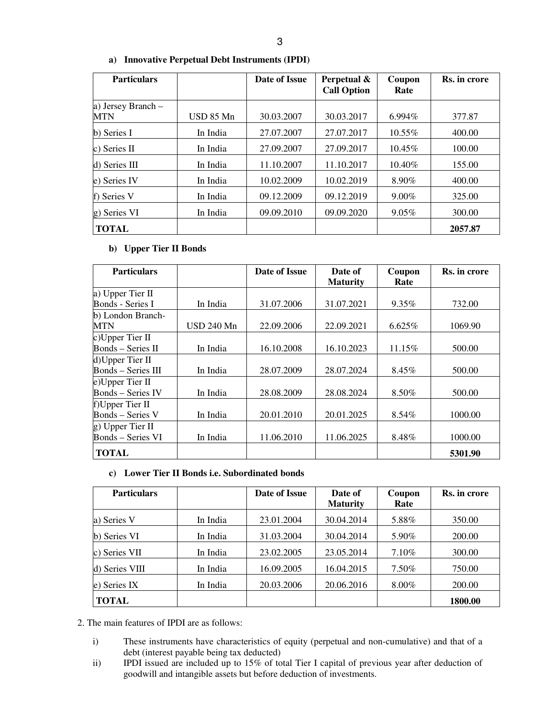| <b>Particulars</b>        |           | Date of Issue | Perpetual &<br><b>Call Option</b> | Coupon<br>Rate | Rs. in crore |
|---------------------------|-----------|---------------|-----------------------------------|----------------|--------------|
| a) Jersey Branch -<br>MTN | USD 85 Mn | 30.03.2007    | 30.03.2017                        | $6.994\%$      | 377.87       |
| b) Series I               | In India  | 27.07.2007    | 27.07.2017                        | $10.55\%$      | 400.00       |
| c) Series II              | In India  | 27.09.2007    | 27.09.2017                        | 10.45%         | 100.00       |
| d) Series III             | In India  | 11.10.2007    | 11.10.2017                        | 10.40%         | 155.00       |
| e) Series IV              | In India  | 10.02.2009    | 10.02.2019                        | 8.90%          | 400.00       |
| f) Series V               | In India  | 09.12.2009    | 09.12.2019                        | $9.00\%$       | 325.00       |
| g) Series VI              | In India  | 09.09.2010    | 09.09.2020                        | 9.05%          | 300.00       |
| <b>TOTAL</b>              |           |               |                                   |                | 2057.87      |

# **a) Innovative Perpetual Debt Instruments (IPDI)**

# **b) Upper Tier II Bonds**

| <b>Particulars</b>        |            | Date of Issue | Date of         | Coupon   | Rs. in crore |
|---------------------------|------------|---------------|-----------------|----------|--------------|
|                           |            |               | <b>Maturity</b> | Rate     |              |
| a) Upper Tier II          |            |               |                 |          |              |
| Bonds - Series I          | In India   | 31.07.2006    | 31.07.2021      | $9.35\%$ | 732.00       |
| b) London Branch-         |            |               |                 |          |              |
| MTN                       | USD 240 Mn | 22.09.2006    | 22.09.2021      | 6.625%   | 1069.90      |
| c)Upper Tier II           |            |               |                 |          |              |
| $Bonds - Series II$       | In India   | 16.10.2008    | 16.10.2023      | 11.15%   | 500.00       |
| $d)$ Upper Tier II        |            |               |                 |          |              |
| <b>Bonds</b> – Series III | In India   | 28.07.2009    | 28.07.2024      | $8.45\%$ | 500.00       |
| e)Upper Tier II           |            |               |                 |          |              |
| <b>Bonds</b> – Series IV  | In India   | 28.08.2009    | 28.08.2024      | 8.50%    | 500.00       |
| f) Upper Tier II          |            |               |                 |          |              |
| Bonds – Series V          | In India   | 20.01.2010    | 20.01.2025      | 8.54%    | 1000.00      |
| g) Upper Tier II          |            |               |                 |          |              |
| <b>Bonds</b> – Series VI  | In India   | 11.06.2010    | 11.06.2025      | 8.48%    | 1000.00      |
| <b>TOTAL</b>              |            |               |                 |          | 5301.90      |

# **c) Lower Tier II Bonds i.e. Subordinated bonds**

| <b>Particulars</b> |          | Date of Issue | Date of<br><b>Maturity</b> | Coupon<br>Rate | Rs. in crore |
|--------------------|----------|---------------|----------------------------|----------------|--------------|
| a) Series V        | In India | 23.01.2004    | 30.04.2014                 | 5.88%          | 350.00       |
| b) Series VI       | In India | 31.03.2004    | 30.04.2014                 | 5.90%          | 200.00       |
| c) Series VII      | In India | 23.02.2005    | 23.05.2014                 | 7.10%          | 300.00       |
| $d)$ Series VIII   | In India | 16.09.2005    | 16.04.2015                 | 7.50%          | 750.00       |
| e) Series IX       | In India | 20.03.2006    | 20.06.2016                 | $8.00\%$       | 200.00       |
| TOTAL              |          |               |                            |                | 1800.00      |

2. The main features of IPDI are as follows:

- i) These instruments have characteristics of equity (perpetual and non-cumulative) and that of a debt (interest payable being tax deducted)
- ii) IPDI issued are included up to 15% of total Tier I capital of previous year after deduction of goodwill and intangible assets but before deduction of investments.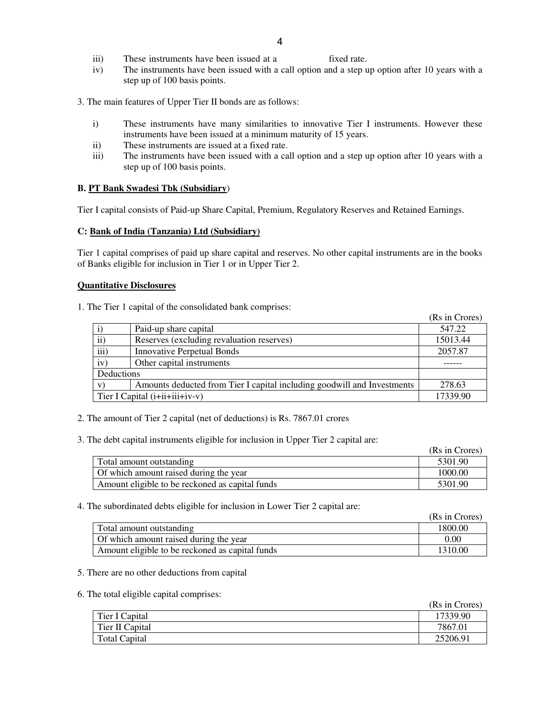- iii) These instruments have been issued at a fixed rate.
- iv) The instruments have been issued with a call option and a step up option after 10 years with a step up of 100 basis points.
- 3. The main features of Upper Tier II bonds are as follows:
	- i) These instruments have many similarities to innovative Tier I instruments. However these instruments have been issued at a minimum maturity of 15 years.
	- ii) These instruments are issued at a fixed rate.
	- iii) The instruments have been issued with a call option and a step up option after 10 years with a step up of 100 basis points.

### **B. PT Bank Swadesi Tbk (Subsidiary**)

Tier I capital consists of Paid-up Share Capital, Premium, Regulatory Reserves and Retained Earnings.

### **C: Bank of India (Tanzania) Ltd (Subsidiary)**

Tier 1 capital comprises of paid up share capital and reserves. No other capital instruments are in the books of Banks eligible for inclusion in Tier 1 or in Upper Tier 2.

### **Quantitative Disclosures**

1. The Tier 1 capital of the consolidated bank comprises:

|                                |                                                                         | (Rs in Crores) |
|--------------------------------|-------------------------------------------------------------------------|----------------|
|                                | Paid-up share capital                                                   | 547.22         |
| $\ddot{\mathbf{i}}$            | Reserves (excluding revaluation reserves)                               | 15013.44       |
| iii)                           | <b>Innovative Perpetual Bonds</b>                                       | 2057.87        |
| iv)                            | Other capital instruments                                               |                |
| Deductions                     |                                                                         |                |
| V                              | Amounts deducted from Tier I capital including goodwill and Investments | 278.63         |
| Tier I Capital (i+ii+iii+iv-v) |                                                                         | 17339.90       |

2. The amount of Tier 2 capital (net of deductions) is Rs. 7867.01 crores

3. The debt capital instruments eligible for inclusion in Upper Tier 2 capital are:

|                                                 | (Rs in Crores) |
|-------------------------------------------------|----------------|
| Total amount outstanding                        | 5301.90        |
| Of which amount raised during the year          | 1000.00        |
| Amount eligible to be reckoned as capital funds | 5301.90        |

#### 4. The subordinated debts eligible for inclusion in Lower Tier 2 capital are:

|                                                 | (Rs in Crores) |
|-------------------------------------------------|----------------|
| Total amount outstanding                        | 1800.00        |
| Of which amount raised during the year          | $0.00\,$       |
| Amount eligible to be reckoned as capital funds | 1310.00        |

#### 5. There are no other deductions from capital

#### 6. The total eligible capital comprises:

|                      | (Rs in Crores) |
|----------------------|----------------|
| Tier I Capital       | 17339.90       |
| Tier II Capital      | 7867.01        |
| <b>Total Capital</b> | 25206.91       |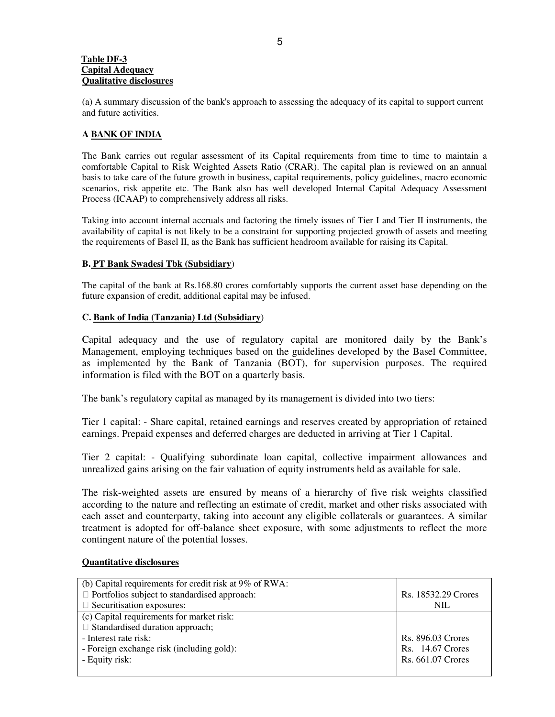### **Table DF-3 Capital Adequacy Qualitative disclosures**

(a) A summary discussion of the bank's approach to assessing the adequacy of its capital to support current and future activities.

# **A BANK OF INDIA**

The Bank carries out regular assessment of its Capital requirements from time to time to maintain a comfortable Capital to Risk Weighted Assets Ratio (CRAR). The capital plan is reviewed on an annual basis to take care of the future growth in business, capital requirements, policy guidelines, macro economic scenarios, risk appetite etc. The Bank also has well developed Internal Capital Adequacy Assessment Process (ICAAP) to comprehensively address all risks.

Taking into account internal accruals and factoring the timely issues of Tier I and Tier II instruments, the availability of capital is not likely to be a constraint for supporting projected growth of assets and meeting the requirements of Basel II, as the Bank has sufficient headroom available for raising its Capital.

# **B. PT Bank Swadesi Tbk (Subsidiary**)

The capital of the bank at Rs.168.80 crores comfortably supports the current asset base depending on the future expansion of credit, additional capital may be infused.

# **C. Bank of India (Tanzania) Ltd (Subsidiary**)

Capital adequacy and the use of regulatory capital are monitored daily by the Bank's Management, employing techniques based on the guidelines developed by the Basel Committee, as implemented by the Bank of Tanzania (BOT), for supervision purposes. The required information is filed with the BOT on a quarterly basis.

The bank's regulatory capital as managed by its management is divided into two tiers:

Tier 1 capital: - Share capital, retained earnings and reserves created by appropriation of retained earnings. Prepaid expenses and deferred charges are deducted in arriving at Tier 1 Capital.

Tier 2 capital: - Qualifying subordinate loan capital, collective impairment allowances and unrealized gains arising on the fair valuation of equity instruments held as available for sale.

The risk-weighted assets are ensured by means of a hierarchy of five risk weights classified according to the nature and reflecting an estimate of credit, market and other risks associated with each asset and counterparty, taking into account any eligible collaterals or guarantees. A similar treatment is adopted for off-balance sheet exposure, with some adjustments to reflect the more contingent nature of the potential losses.

# **Quantitative disclosures**

| (b) Capital requirements for credit risk at 9% of RWA: |                     |
|--------------------------------------------------------|---------------------|
| Portfolios subject to standardised approach:           | Rs. 18532.29 Crores |
| Securitisation exposures:                              | <b>NIL</b>          |
| (c) Capital requirements for market risk:              |                     |
| Standardised duration approach;                        |                     |
| - Interest rate risk:                                  | Rs. 896.03 Crores   |
| - Foreign exchange risk (including gold):              | Rs. 14.67 Crores    |
| - Equity risk:                                         | Rs. 661.07 Crores   |
|                                                        |                     |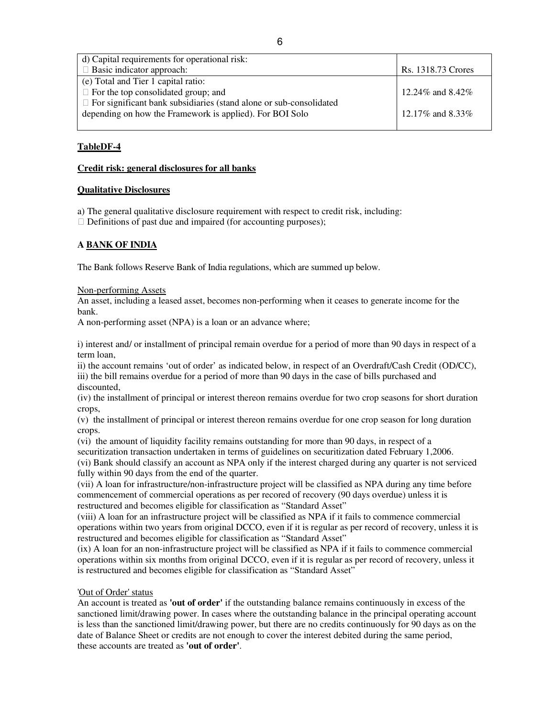| d) Capital requirements for operational risk:                      |                      |
|--------------------------------------------------------------------|----------------------|
| Basic indicator approach:                                          | Rs. 1318.73 Crores   |
| (e) Total and Tier 1 capital ratio:                                |                      |
| For the top consolidated group; and                                | 12.24\% and $8.42\%$ |
| For significant bank subsidiaries (stand alone or sub-consolidated |                      |
| depending on how the Framework is applied). For BOI Solo           | 12.17\% and 8.33\%   |
|                                                                    |                      |

# **TableDF-4**

# **Credit risk: general disclosures for all banks**

# **Qualitative Disclosures**

a) The general qualitative disclosure requirement with respect to credit risk, including: Definitions of past due and impaired (for accounting purposes);

# **A BANK OF INDIA**

The Bank follows Reserve Bank of India regulations, which are summed up below.

Non-performing Assets

An asset, including a leased asset, becomes non-performing when it ceases to generate income for the bank.

A non-performing asset (NPA) is a loan or an advance where;

i) interest and/ or installment of principal remain overdue for a period of more than 90 days in respect of a term loan,

ii) the account remains 'out of order' as indicated below, in respect of an Overdraft/Cash Credit (OD/CC), iii) the bill remains overdue for a period of more than 90 days in the case of bills purchased and discounted,

(iv) the installment of principal or interest thereon remains overdue for two crop seasons for short duration crops,

(v) the installment of principal or interest thereon remains overdue for one crop season for long duration crops.

(vi) the amount of liquidity facility remains outstanding for more than 90 days, in respect of a securitization transaction undertaken in terms of guidelines on securitization dated February 1,2006. (vi) Bank should classify an account as NPA only if the interest charged during any quarter is not serviced fully within 90 days from the end of the quarter.

(vii) A loan for infrastructure/non-infrastructure project will be classified as NPA during any time before commencement of commercial operations as per recored of recovery (90 days overdue) unless it is restructured and becomes eligible for classification as "Standard Asset"

(viii) A loan for an infrastructure project will be classified as NPA if it fails to commence commercial operations within two years from original DCCO, even if it is regular as per record of recovery, unless it is restructured and becomes eligible for classification as "Standard Asset"

(ix) A loan for an non-infrastructure project will be classified as NPA if it fails to commence commercial operations within six months from original DCCO, even if it is regular as per record of recovery, unless it is restructured and becomes eligible for classification as "Standard Asset"

# 'Out of Order' status

An account is treated as **'out of order'** if the outstanding balance remains continuously in excess of the sanctioned limit/drawing power. In cases where the outstanding balance in the principal operating account is less than the sanctioned limit/drawing power, but there are no credits continuously for 90 days as on the date of Balance Sheet or credits are not enough to cover the interest debited during the same period, these accounts are treated as **'out of order'**.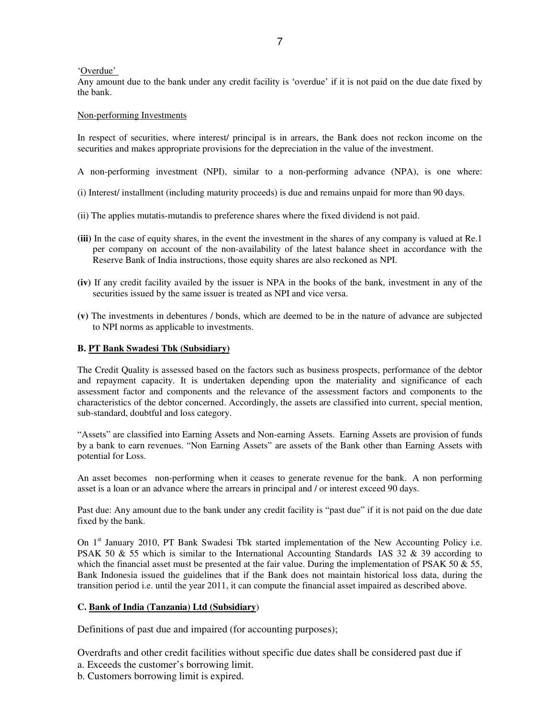### 'Overdue'

Any amount due to the bank under any credit facility is 'overdue' if it is not paid on the due date fixed by the bank.

### Non-performing Investments

In respect of securities, where interest/ principal is in arrears, the Bank does not reckon income on the securities and makes appropriate provisions for the depreciation in the value of the investment.

- A non-performing investment (NPI), similar to a non-performing advance (NPA), is one where:
- (i) Interest/ installment (including maturity proceeds) is due and remains unpaid for more than 90 days.
- (ii) The applies mutatis-mutandis to preference shares where the fixed dividend is not paid.
- **(iii)** In the case of equity shares, in the event the investment in the shares of any company is valued at Re.1 per company on account of the non-availability of the latest balance sheet in accordance with the Reserve Bank of India instructions, those equity shares are also reckoned as NPI.
- **(iv)** If any credit facility availed by the issuer is NPA in the books of the bank, investment in any of the securities issued by the same issuer is treated as NPI and vice versa.
- **(v)** The investments in debentures / bonds, which are deemed to be in the nature of advance are subjected to NPI norms as applicable to investments.

### **B. PT Bank Swadesi Tbk (Subsidiary)**

The Credit Quality is assessed based on the factors such as business prospects, performance of the debtor and repayment capacity. It is undertaken depending upon the materiality and significance of each assessment factor and components and the relevance of the assessment factors and components to the characteristics of the debtor concerned. Accordingly, the assets are classified into current, special mention, sub-standard, doubtful and loss category.

"Assets" are classified into Earning Assets and Non-earning Assets. Earning Assets are provision of funds by a bank to earn revenues. "Non Earning Assets" are assets of the Bank other than Earning Assets with potential for Loss.

An asset becomes non-performing when it ceases to generate revenue for the bank. A non performing asset is a loan or an advance where the arrears in principal and / or interest exceed 90 days.

Past due: Any amount due to the bank under any credit facility is "past due" if it is not paid on the due date fixed by the bank.

On 1<sup>st</sup> January 2010, PT Bank Swadesi Tbk started implementation of the New Accounting Policy i.e. PSAK 50 & 55 which is similar to the International Accounting Standards IAS 32 & 39 according to which the financial asset must be presented at the fair value. During the implementation of PSAK 50  $\&$  55, Bank Indonesia issued the guidelines that if the Bank does not maintain historical loss data, during the transition period i.e. until the year 2011, it can compute the financial asset impaired as described above.

# **C. Bank of India (Tanzania) Ltd (Subsidiary**)

Definitions of past due and impaired (for accounting purposes);

Overdrafts and other credit facilities without specific due dates shall be considered past due if

- a. Exceeds the customer's borrowing limit.
- b. Customers borrowing limit is expired.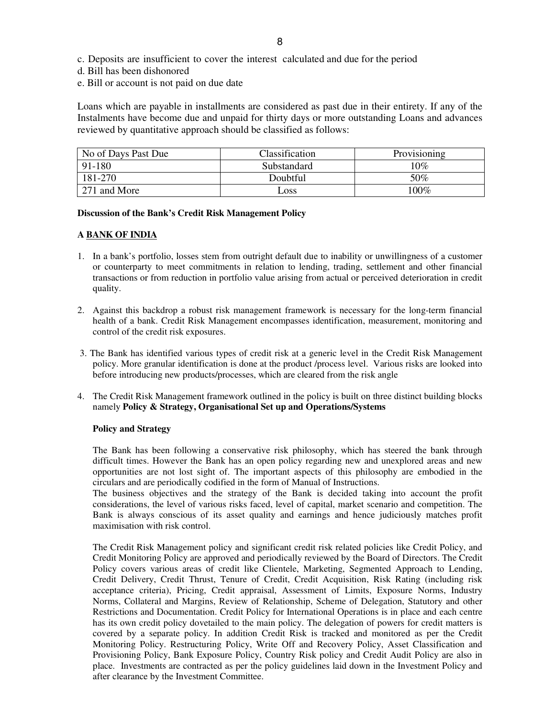- c. Deposits are insufficient to cover the interest calculated and due for the period
- d. Bill has been dishonored
- e. Bill or account is not paid on due date

Loans which are payable in installments are considered as past due in their entirety. If any of the Instalments have become due and unpaid for thirty days or more outstanding Loans and advances reviewed by quantitative approach should be classified as follows:

| No of Days Past Due | <b>Classification</b> | Provisioning |
|---------------------|-----------------------|--------------|
| 91-180              | Substandard           | $10\%$       |
| 181-270             | Doubtful              | 50%          |
| 271 and More        | $\log$                | 100%         |

#### **Discussion of the Bank's Credit Risk Management Policy**

### **A BANK OF INDIA**

- 1. In a bank's portfolio, losses stem from outright default due to inability or unwillingness of a customer or counterparty to meet commitments in relation to lending, trading, settlement and other financial transactions or from reduction in portfolio value arising from actual or perceived deterioration in credit quality.
- 2. Against this backdrop a robust risk management framework is necessary for the long-term financial health of a bank. Credit Risk Management encompasses identification, measurement, monitoring and control of the credit risk exposures.
- 3. The Bank has identified various types of credit risk at a generic level in the Credit Risk Management policy. More granular identification is done at the product /process level. Various risks are looked into before introducing new products/processes, which are cleared from the risk angle
- 4. The Credit Risk Management framework outlined in the policy is built on three distinct building blocks namely **Policy & Strategy, Organisational Set up and Operations/Systems**

### **Policy and Strategy**

The Bank has been following a conservative risk philosophy, which has steered the bank through difficult times. However the Bank has an open policy regarding new and unexplored areas and new opportunities are not lost sight of. The important aspects of this philosophy are embodied in the circulars and are periodically codified in the form of Manual of Instructions.

The business objectives and the strategy of the Bank is decided taking into account the profit considerations, the level of various risks faced, level of capital, market scenario and competition. The Bank is always conscious of its asset quality and earnings and hence judiciously matches profit maximisation with risk control.

The Credit Risk Management policy and significant credit risk related policies like Credit Policy, and Credit Monitoring Policy are approved and periodically reviewed by the Board of Directors. The Credit Policy covers various areas of credit like Clientele, Marketing, Segmented Approach to Lending, Credit Delivery, Credit Thrust, Tenure of Credit, Credit Acquisition, Risk Rating (including risk acceptance criteria), Pricing, Credit appraisal, Assessment of Limits, Exposure Norms, Industry Norms, Collateral and Margins, Review of Relationship, Scheme of Delegation, Statutory and other Restrictions and Documentation. Credit Policy for International Operations is in place and each centre has its own credit policy dovetailed to the main policy. The delegation of powers for credit matters is covered by a separate policy. In addition Credit Risk is tracked and monitored as per the Credit Monitoring Policy. Restructuring Policy, Write Off and Recovery Policy, Asset Classification and Provisioning Policy, Bank Exposure Policy, Country Risk policy and Credit Audit Policy are also in place. Investments are contracted as per the policy guidelines laid down in the Investment Policy and after clearance by the Investment Committee.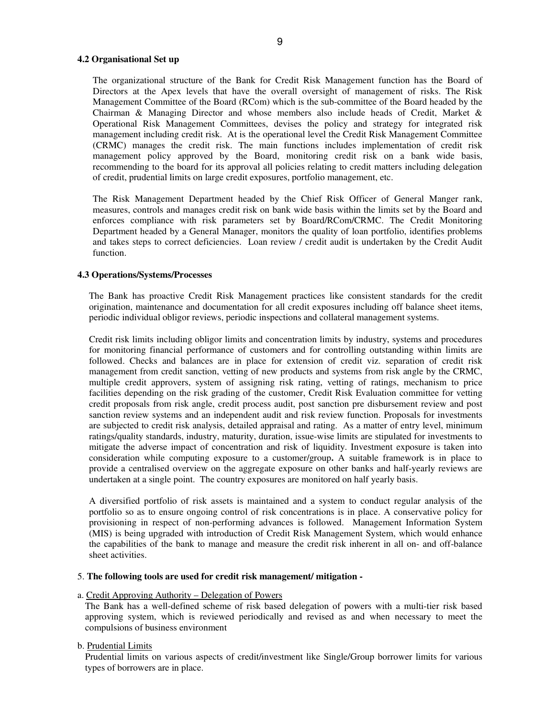#### **4.2 Organisational Set up**

The organizational structure of the Bank for Credit Risk Management function has the Board of Directors at the Apex levels that have the overall oversight of management of risks. The Risk Management Committee of the Board (RCom) which is the sub-committee of the Board headed by the Chairman & Managing Director and whose members also include heads of Credit, Market & Operational Risk Management Committees, devises the policy and strategy for integrated risk management including credit risk. At is the operational level the Credit Risk Management Committee (CRMC) manages the credit risk. The main functions includes implementation of credit risk management policy approved by the Board, monitoring credit risk on a bank wide basis, recommending to the board for its approval all policies relating to credit matters including delegation of credit, prudential limits on large credit exposures, portfolio management, etc.

The Risk Management Department headed by the Chief Risk Officer of General Manger rank, measures, controls and manages credit risk on bank wide basis within the limits set by the Board and enforces compliance with risk parameters set by Board/RCom/CRMC. The Credit Monitoring Department headed by a General Manager, monitors the quality of loan portfolio, identifies problems and takes steps to correct deficiencies. Loan review / credit audit is undertaken by the Credit Audit function.

### **4.3 Operations/Systems/Processes**

The Bank has proactive Credit Risk Management practices like consistent standards for the credit origination, maintenance and documentation for all credit exposures including off balance sheet items, periodic individual obligor reviews, periodic inspections and collateral management systems.

Credit risk limits including obligor limits and concentration limits by industry, systems and procedures for monitoring financial performance of customers and for controlling outstanding within limits are followed. Checks and balances are in place for extension of credit viz. separation of credit risk management from credit sanction, vetting of new products and systems from risk angle by the CRMC, multiple credit approvers, system of assigning risk rating, vetting of ratings, mechanism to price facilities depending on the risk grading of the customer, Credit Risk Evaluation committee for vetting credit proposals from risk angle, credit process audit, post sanction pre disbursement review and post sanction review systems and an independent audit and risk review function. Proposals for investments are subjected to credit risk analysis, detailed appraisal and rating. As a matter of entry level, minimum ratings/quality standards, industry, maturity, duration, issue-wise limits are stipulated for investments to mitigate the adverse impact of concentration and risk of liquidity. Investment exposure is taken into consideration while computing exposure to a customer/group**.** A suitable framework is in place to provide a centralised overview on the aggregate exposure on other banks and half-yearly reviews are undertaken at a single point. The country exposures are monitored on half yearly basis.

A diversified portfolio of risk assets is maintained and a system to conduct regular analysis of the portfolio so as to ensure ongoing control of risk concentrations is in place. A conservative policy for provisioning in respect of non-performing advances is followed. Management Information System (MIS) is being upgraded with introduction of Credit Risk Management System, which would enhance the capabilities of the bank to manage and measure the credit risk inherent in all on- and off-balance sheet activities.

#### 5. **The following tools are used for credit risk management/ mitigation -**

#### a. Credit Approving Authority – Delegation of Powers

The Bank has a well-defined scheme of risk based delegation of powers with a multi-tier risk based approving system, which is reviewed periodically and revised as and when necessary to meet the compulsions of business environment

# b. Prudential Limits

Prudential limits on various aspects of credit/investment like Single/Group borrower limits for various types of borrowers are in place.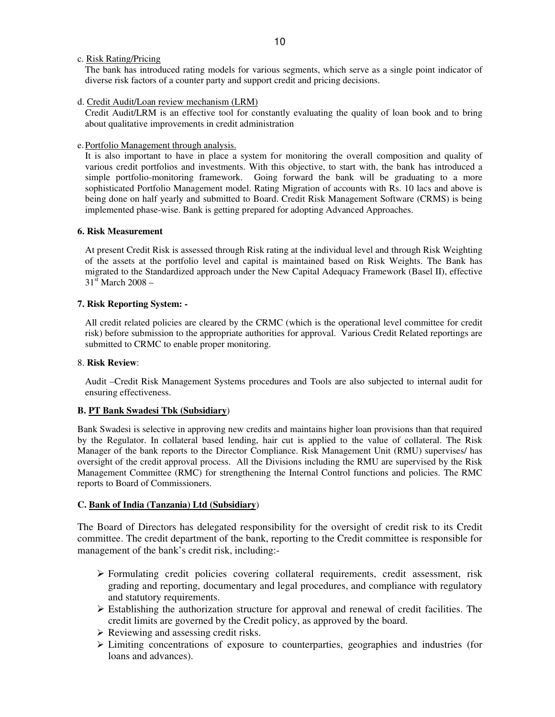# c. Risk Rating/Pricing

The bank has introduced rating models for various segments, which serve as a single point indicator of diverse risk factors of a counter party and support credit and pricing decisions.

# d. Credit Audit/Loan review mechanism (LRM)

Credit Audit/LRM is an effective tool for constantly evaluating the quality of loan book and to bring about qualitative improvements in credit administration

# e.Portfolio Management through analysis.

It is also important to have in place a system for monitoring the overall composition and quality of various credit portfolios and investments. With this objective, to start with, the bank has introduced a simple portfolio-monitoring framework. Going forward the bank will be graduating to a more sophisticated Portfolio Management model. Rating Migration of accounts with Rs. 10 lacs and above is being done on half yearly and submitted to Board. Credit Risk Management Software (CRMS) is being implemented phase-wise. Bank is getting prepared for adopting Advanced Approaches.

# **6. Risk Measurement**

At present Credit Risk is assessed through Risk rating at the individual level and through Risk Weighting of the assets at the portfolio level and capital is maintained based on Risk Weights. The Bank has migrated to the Standardized approach under the New Capital Adequacy Framework (Basel II), effective  $31<sup>st</sup>$  March 2008 –

# **7. Risk Reporting System: -**

All credit related policies are cleared by the CRMC (which is the operational level committee for credit risk) before submission to the appropriate authorities for approval. Various Credit Related reportings are submitted to CRMC to enable proper monitoring.

# 8. **Risk Review**:

Audit –Credit Risk Management Systems procedures and Tools are also subjected to internal audit for ensuring effectiveness.

# **B. PT Bank Swadesi Tbk (Subsidiary**)

Bank Swadesi is selective in approving new credits and maintains higher loan provisions than that required by the Regulator. In collateral based lending, hair cut is applied to the value of collateral. The Risk Manager of the bank reports to the Director Compliance. Risk Management Unit (RMU) supervises/ has oversight of the credit approval process. All the Divisions including the RMU are supervised by the Risk Management Committee (RMC) for strengthening the Internal Control functions and policies. The RMC reports to Board of Commissioners.

# **C. Bank of India (Tanzania) Ltd (Subsidiary**)

The Board of Directors has delegated responsibility for the oversight of credit risk to its Credit committee. The credit department of the bank, reporting to the Credit committee is responsible for management of the bank's credit risk, including:-

- Formulating credit policies covering collateral requirements, credit assessment, risk grading and reporting, documentary and legal procedures, and compliance with regulatory and statutory requirements.
- $\triangleright$  Establishing the authorization structure for approval and renewal of credit facilities. The credit limits are governed by the Credit policy, as approved by the board.
- $\triangleright$  Reviewing and assessing credit risks.
- $\triangleright$  Limiting concentrations of exposure to counterparties, geographies and industries (for loans and advances).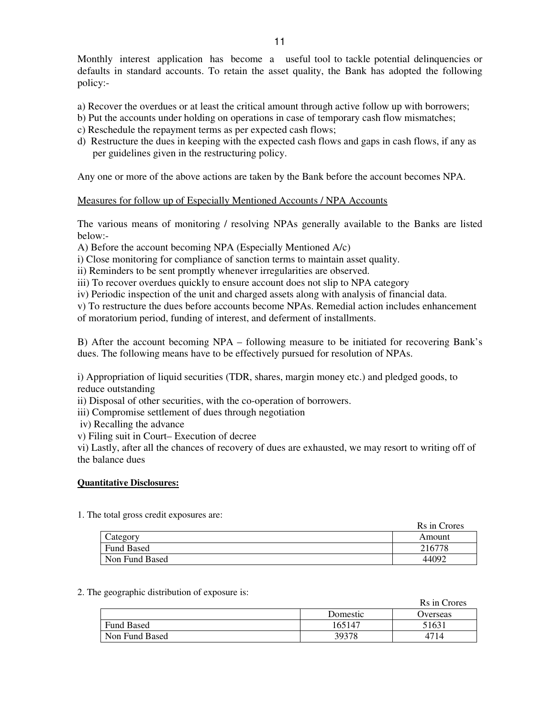Monthly interest application has become a useful tool to tackle potential delinquencies or defaults in standard accounts. To retain the asset quality, the Bank has adopted the following policy:-

- a) Recover the overdues or at least the critical amount through active follow up with borrowers;
- b) Put the accounts under holding on operations in case of temporary cash flow mismatches;
- c) Reschedule the repayment terms as per expected cash flows;
- d) Restructure the dues in keeping with the expected cash flows and gaps in cash flows, if any as per guidelines given in the restructuring policy.

Any one or more of the above actions are taken by the Bank before the account becomes NPA.

# Measures for follow up of Especially Mentioned Accounts / NPA Accounts

The various means of monitoring / resolving NPAs generally available to the Banks are listed below:-

A) Before the account becoming NPA (Especially Mentioned A/c)

i) Close monitoring for compliance of sanction terms to maintain asset quality.

ii) Reminders to be sent promptly whenever irregularities are observed.

iii) To recover overdues quickly to ensure account does not slip to NPA category

iv) Periodic inspection of the unit and charged assets along with analysis of financial data.

v) To restructure the dues before accounts become NPAs. Remedial action includes enhancement of moratorium period, funding of interest, and deferment of installments.

B) After the account becoming NPA – following measure to be initiated for recovering Bank's dues. The following means have to be effectively pursued for resolution of NPAs.

i) Appropriation of liquid securities (TDR, shares, margin money etc.) and pledged goods, to reduce outstanding

ii) Disposal of other securities, with the co-operation of borrowers.

iii) Compromise settlement of dues through negotiation

iv) Recalling the advance

v) Filing suit in Court– Execution of decree

vi) Lastly, after all the chances of recovery of dues are exhausted, we may resort to writing off of the balance dues

# **Quantitative Disclosures:**

1. The total gross credit exposures are:

|                | Rs in Crores |
|----------------|--------------|
| ategory        | Amount       |
| Fund Based     | 216778       |
| Non Fund Based | 44092        |

#### 2. The geographic distribution of exposure is:

|                   |          | Rs in Crores |
|-------------------|----------|--------------|
|                   | Domestic | Overseas     |
| <b>Fund Based</b> | 165147   | 51631        |
| Non Fund Based    | 39378    | 4714         |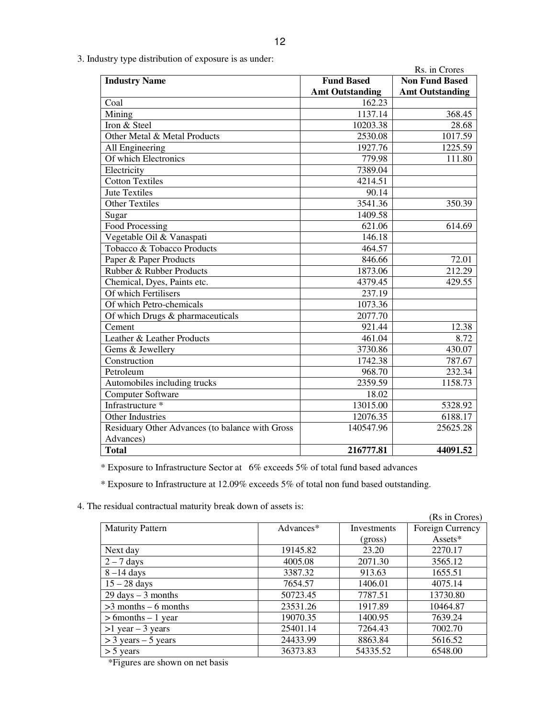| - 1<br>г. |  |
|-----------|--|
|           |  |

|                                                 |                        | Rs. in Crores          |
|-------------------------------------------------|------------------------|------------------------|
| <b>Industry Name</b>                            | <b>Fund Based</b>      | <b>Non Fund Based</b>  |
|                                                 | <b>Amt Outstanding</b> | <b>Amt Outstanding</b> |
| Coal                                            | 162.23                 |                        |
| Mining                                          | 1137.14                | 368.45                 |
| Iron & Steel                                    | 10203.38               | 28.68                  |
| Other Metal & Metal Products                    | 2530.08                | 1017.59                |
| All Engineering                                 | 1927.76                | 1225.59                |
| Of which Electronics                            | 779.98                 | 111.80                 |
| Electricity                                     | 7389.04                |                        |
| <b>Cotton Textiles</b>                          | 4214.51                |                        |
| <b>Jute Textiles</b>                            | 90.14                  |                        |
| <b>Other Textiles</b>                           | 3541.36                | 350.39                 |
| Sugar                                           | 1409.58                |                        |
| <b>Food Processing</b>                          | 621.06                 | 614.69                 |
| Vegetable Oil & Vanaspati                       | 146.18                 |                        |
| Tobacco & Tobacco Products                      | 464.57                 |                        |
| Paper & Paper Products                          | 846.66                 | 72.01                  |
| Rubber & Rubber Products                        | 1873.06                | 212.29                 |
| Chemical, Dyes, Paints etc.                     | 4379.45                | 429.55                 |
| Of which Fertilisers                            | 237.19                 |                        |
| Of which Petro-chemicals                        | 1073.36                |                        |
| Of which Drugs & pharmaceuticals                | 2077.70                |                        |
| Cement                                          | 921.44                 | 12.38                  |
| Leather & Leather Products                      | 461.04                 | 8.72                   |
| Gems & Jewellery                                | 3730.86                | 430.07                 |
| Construction                                    | 1742.38                | 787.67                 |
| Petroleum                                       | 968.70                 | 232.34                 |
| Automobiles including trucks                    | 2359.59                | 1158.73                |
| Computer Software                               | 18.02                  |                        |
| Infrastructure *                                | 13015.00               | 5328.92                |
| Other Industries                                | 12076.35               | 6188.17                |
| Residuary Other Advances (to balance with Gross | 140547.96              | 25625.28               |
| Advances)                                       |                        |                        |
| <b>Total</b>                                    | 216777.81              | 44091.52               |

3. Industry type distribution of exposure is as under:

\* Exposure to Infrastructure Sector at 6% exceeds 5% of total fund based advances

\* Exposure to Infrastructure at 12.09% exceeds 5% of total non fund based outstanding.

4. The residual contractual maturity break down of assets is:

| e residuar commucular maturity orcan down or assets is. |           |             | (Rs in Crores)   |
|---------------------------------------------------------|-----------|-------------|------------------|
| <b>Maturity Pattern</b>                                 | Advances* | Investments | Foreign Currency |
|                                                         |           | (gross)     | Assets*          |
| Next day                                                | 19145.82  | 23.20       | 2270.17          |
| $2 - 7$ days                                            | 4005.08   | 2071.30     | 3565.12          |
| $8-14$ days                                             | 3387.32   | 913.63      | 1655.51          |
| $15 - 28$ days                                          | 7654.57   | 1406.01     | 4075.14          |
| $29 \text{ days} - 3 \text{ months}$                    | 50723.45  | 7787.51     | 13730.80         |
| $>3$ months – 6 months                                  | 23531.26  | 1917.89     | 10464.87         |
| $> 6$ months $-1$ year                                  | 19070.35  | 1400.95     | 7639.24          |
| $>1$ year $-3$ years                                    | 25401.14  | 7264.43     | 7002.70          |
| $>$ 3 years – 5 years                                   | 24433.99  | 8863.84     | 5616.52          |
| $>$ 5 years                                             | 36373.83  | 54335.52    | 6548.00          |

\*Figures are shown on net basis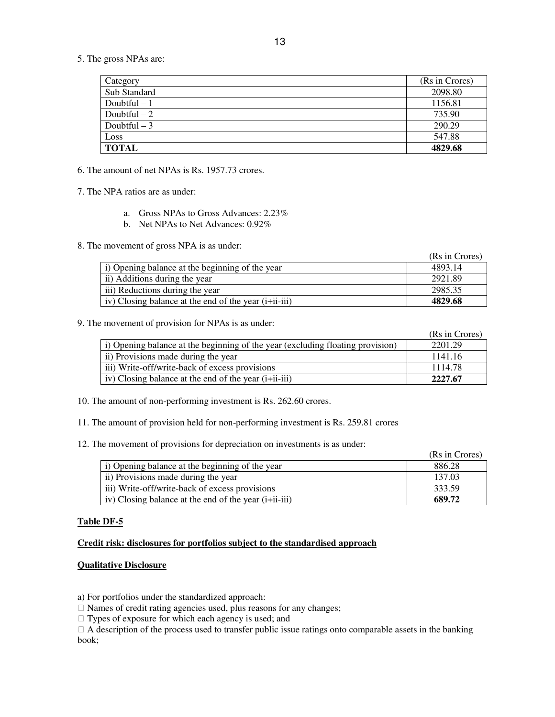5. The gross NPAs are:

| Category      | (Rs in Crores) |
|---------------|----------------|
| Sub Standard  | 2098.80        |
| Doubtful $-1$ | 1156.81        |
| Doubtful $-2$ | 735.90         |
| Doubtful $-3$ | 290.29         |
| Loss          | 547.88         |
| <b>TOTAL</b>  | 4829.68        |

6. The amount of net NPAs is Rs. 1957.73 crores.

7. The NPA ratios are as under:

- a. Gross NPAs to Gross Advances: 2.23%
- b. Net NPAs to Net Advances: 0.92%

8. The movement of gross NPA is as under:

|                                                          | (Rs in Crores) |
|----------------------------------------------------------|----------------|
| i) Opening balance at the beginning of the year          | 4893.14        |
| ii) Additions during the year                            | 2921.89        |
| iii) Reductions during the year                          | 2985.35        |
| iv) Closing balance at the end of the year $(i+iii-iii)$ | 4829.68        |

9. The movement of provision for NPAs is as under:

|                                                                                  | (Rs in Crores) |
|----------------------------------------------------------------------------------|----------------|
| i) Opening balance at the beginning of the year (excluding floating provision)   | 2201.29        |
| ii) Provisions made during the year                                              | 1141.16        |
| iii) Write-off/write-back of excess provisions                                   | 1114.78        |
| iv) Closing balance at the end of the year ( <i>i</i> + <i>ii</i> - <i>iii</i> ) | 2227.67        |

10. The amount of non-performing investment is Rs. 262.60 crores.

11. The amount of provision held for non-performing investment is Rs. 259.81 crores

12. The movement of provisions for depreciation on investments is as under:

|                                                               | (Rs in Crores) |
|---------------------------------------------------------------|----------------|
| i) Opening balance at the beginning of the year               | 886.28         |
| ii) Provisions made during the year                           | 137.03         |
| iii) Write-off/write-back of excess provisions                | 333.59         |
| $\vert$ iv) Closing balance at the end of the year (i+ii-iii) | 689.72         |

# **Table DF-5**

# **Credit risk: disclosures for portfolios subject to the standardised approach**

# **Qualitative Disclosure**

a) For portfolios under the standardized approach:

Names of credit rating agencies used, plus reasons for any changes;

Types of exposure for which each agency is used; and

 A description of the process used to transfer public issue ratings onto comparable assets in the banking book;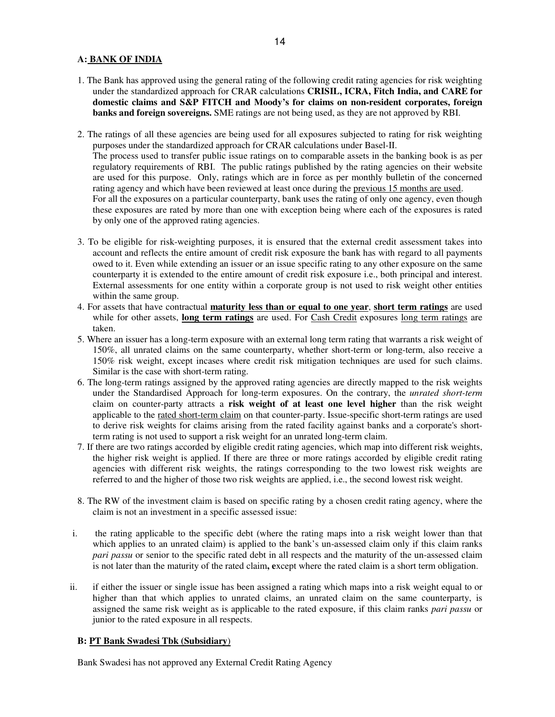# **A: BANK OF INDIA**

- 1. The Bank has approved using the general rating of the following credit rating agencies for risk weighting under the standardized approach for CRAR calculations **CRISIL, ICRA, Fitch India, and CARE for domestic claims and S&P FITCH and Moody's for claims on non-resident corporates, foreign banks and foreign sovereigns.** SME ratings are not being used, as they are not approved by RBI.
- 2. The ratings of all these agencies are being used for all exposures subjected to rating for risk weighting purposes under the standardized approach for CRAR calculations under Basel-II. The process used to transfer public issue ratings on to comparable assets in the banking book is as per regulatory requirements of RBI. The public ratings published by the rating agencies on their website are used for this purpose. Only, ratings which are in force as per monthly bulletin of the concerned rating agency and which have been reviewed at least once during the previous 15 months are used. For all the exposures on a particular counterparty, bank uses the rating of only one agency, even though these exposures are rated by more than one with exception being where each of the exposures is rated by only one of the approved rating agencies.
- 3. To be eligible for risk-weighting purposes, it is ensured that the external credit assessment takes into account and reflects the entire amount of credit risk exposure the bank has with regard to all payments owed to it. Even while extending an issuer or an issue specific rating to any other exposure on the same counterparty it is extended to the entire amount of credit risk exposure i.e., both principal and interest. External assessments for one entity within a corporate group is not used to risk weight other entities within the same group.
- 4. For assets that have contractual **maturity less than or equal to one year**, **short term ratings** are used while for other assets, **long term ratings** are used. For Cash Credit exposures long term ratings are taken.
- 5. Where an issuer has a long-term exposure with an external long term rating that warrants a risk weight of 150%, all unrated claims on the same counterparty, whether short-term or long-term, also receive a 150% risk weight, except incases where credit risk mitigation techniques are used for such claims. Similar is the case with short-term rating.
- 6. The long-term ratings assigned by the approved rating agencies are directly mapped to the risk weights under the Standardised Approach for long-term exposures. On the contrary, the *unrated short-term* claim on counter-party attracts a **risk weight of at least one level higher** than the risk weight applicable to the rated short-term claim on that counter-party. Issue-specific short-term ratings are used to derive risk weights for claims arising from the rated facility against banks and a corporate's shortterm rating is not used to support a risk weight for an unrated long-term claim.
- 7. If there are two ratings accorded by eligible credit rating agencies, which map into different risk weights, the higher risk weight is applied. If there are three or more ratings accorded by eligible credit rating agencies with different risk weights, the ratings corresponding to the two lowest risk weights are referred to and the higher of those two risk weights are applied, i.e., the second lowest risk weight.
- 8. The RW of the investment claim is based on specific rating by a chosen credit rating agency, where the claim is not an investment in a specific assessed issue:
- i. the rating applicable to the specific debt (where the rating maps into a risk weight lower than that which applies to an unrated claim) is applied to the bank's un-assessed claim only if this claim ranks *pari passu* or senior to the specific rated debt in all respects and the maturity of the un-assessed claim is not later than the maturity of the rated claim**, e**xcept where the rated claim is a short term obligation.
- ii. if either the issuer or single issue has been assigned a rating which maps into a risk weight equal to or higher than that which applies to unrated claims, an unrated claim on the same counterparty, is assigned the same risk weight as is applicable to the rated exposure, if this claim ranks *pari passu* or junior to the rated exposure in all respects.

# **B: PT Bank Swadesi Tbk (Subsidiary**)

Bank Swadesi has not approved any External Credit Rating Agency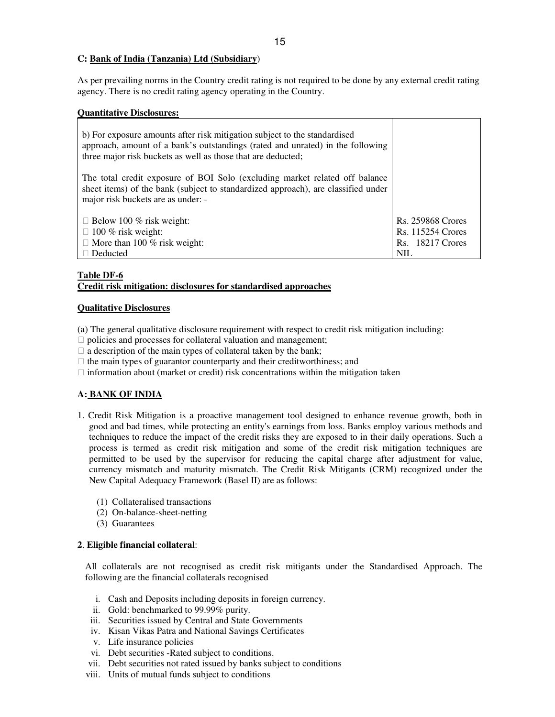### **C: Bank of India (Tanzania) Ltd (Subsidiary**)

As per prevailing norms in the Country credit rating is not required to be done by any external credit rating agency. There is no credit rating agency operating in the Country.

| <b>Quantitative Disclosures:</b>                                                                                                                                                                                            |                          |
|-----------------------------------------------------------------------------------------------------------------------------------------------------------------------------------------------------------------------------|--------------------------|
| b) For exposure amounts after risk mitigation subject to the standardised<br>approach, amount of a bank's outstandings (rated and unrated) in the following<br>three major risk buckets as well as those that are deducted; |                          |
| The total credit exposure of BOI Solo (excluding market related off balance<br>sheet items) of the bank (subject to standardized approach), are classified under<br>major risk buckets are as under: -                      |                          |
| Below 100 $%$ risk weight:                                                                                                                                                                                                  | <b>Rs. 259868 Crores</b> |
| 100 % risk weight:                                                                                                                                                                                                          | <b>Rs. 115254 Crores</b> |
| More than 100 % risk weight:                                                                                                                                                                                                | Rs. 18217 Crores         |
| Deducted                                                                                                                                                                                                                    | <b>NIL</b>               |

# **Table DF-6**

# **Credit risk mitigation: disclosures for standardised approaches**

### **Qualitative Disclosures**

(a) The general qualitative disclosure requirement with respect to credit risk mitigation including: policies and processes for collateral valuation and management; a description of the main types of collateral taken by the bank; the main types of guarantor counterparty and their creditworthiness; and information about (market or credit) risk concentrations within the mitigation taken

# **A: BANK OF INDIA**

- 1. Credit Risk Mitigation is a proactive management tool designed to enhance revenue growth, both in good and bad times, while protecting an entity's earnings from loss. Banks employ various methods and techniques to reduce the impact of the credit risks they are exposed to in their daily operations. Such a process is termed as credit risk mitigation and some of the credit risk mitigation techniques are permitted to be used by the supervisor for reducing the capital charge after adjustment for value, currency mismatch and maturity mismatch. The Credit Risk Mitigants (CRM) recognized under the New Capital Adequacy Framework (Basel II) are as follows:
	- (1) Collateralised transactions
	- (2) On-balance-sheet-netting
	- (3) Guarantees

# **2**. **Eligible financial collateral**:

All collaterals are not recognised as credit risk mitigants under the Standardised Approach. The following are the financial collaterals recognised

- i. Cash and Deposits including deposits in foreign currency.
- ii. Gold: benchmarked to 99.99% purity.
- iii. Securities issued by Central and State Governments
- iv. Kisan Vikas Patra and National Savings Certificates
- v. Life insurance policies
- vi. Debt securities -Rated subject to conditions.
- vii. Debt securities not rated issued by banks subject to conditions
- viii. Units of mutual funds subject to conditions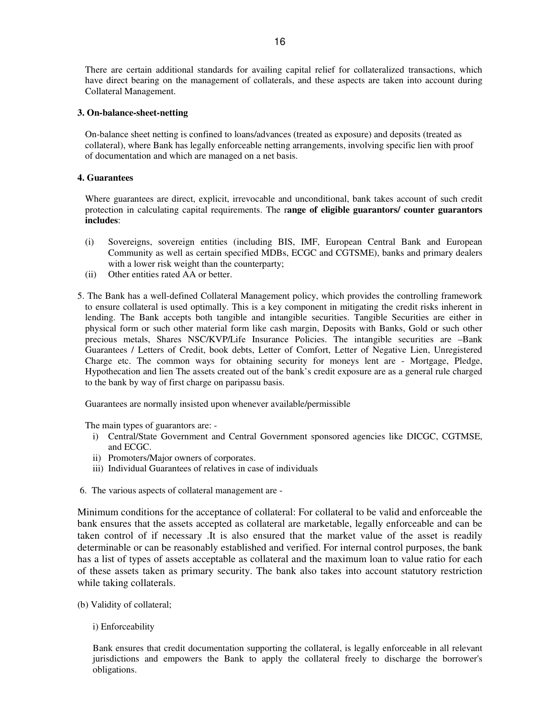There are certain additional standards for availing capital relief for collateralized transactions, which have direct bearing on the management of collaterals, and these aspects are taken into account during Collateral Management.

### **3. On-balance-sheet-netting**

On-balance sheet netting is confined to loans/advances (treated as exposure) and deposits (treated as collateral), where Bank has legally enforceable netting arrangements, involving specific lien with proof of documentation and which are managed on a net basis.

### **4. Guarantees**

Where guarantees are direct, explicit, irrevocable and unconditional, bank takes account of such credit protection in calculating capital requirements. The r**ange of eligible guarantors/ counter guarantors includes**:

- (i) Sovereigns, sovereign entities (including BIS, IMF, European Central Bank and European Community as well as certain specified MDBs, ECGC and CGTSME), banks and primary dealers with a lower risk weight than the counterparty;
- (ii) Other entities rated AA or better.
- 5. The Bank has a well-defined Collateral Management policy, which provides the controlling framework to ensure collateral is used optimally. This is a key component in mitigating the credit risks inherent in lending. The Bank accepts both tangible and intangible securities. Tangible Securities are either in physical form or such other material form like cash margin, Deposits with Banks, Gold or such other precious metals, Shares NSC/KVP/Life Insurance Policies. The intangible securities are –Bank Guarantees / Letters of Credit, book debts, Letter of Comfort, Letter of Negative Lien, Unregistered Charge etc. The common ways for obtaining security for moneys lent are - Mortgage, Pledge, Hypothecation and lien The assets created out of the bank's credit exposure are as a general rule charged to the bank by way of first charge on paripassu basis.

Guarantees are normally insisted upon whenever available/permissible

The main types of guarantors are: -

- i) Central/State Government and Central Government sponsored agencies like DICGC, CGTMSE, and ECGC.
- ii) Promoters/Major owners of corporates.
- iii) Individual Guarantees of relatives in case of individuals
- 6. The various aspects of collateral management are -

Minimum conditions for the acceptance of collateral: For collateral to be valid and enforceable the bank ensures that the assets accepted as collateral are marketable, legally enforceable and can be taken control of if necessary .It is also ensured that the market value of the asset is readily determinable or can be reasonably established and verified. For internal control purposes, the bank has a list of types of assets acceptable as collateral and the maximum loan to value ratio for each of these assets taken as primary security. The bank also takes into account statutory restriction while taking collaterals.

(b) Validity of collateral;

# i) Enforceability

Bank ensures that credit documentation supporting the collateral, is legally enforceable in all relevant jurisdictions and empowers the Bank to apply the collateral freely to discharge the borrower's obligations.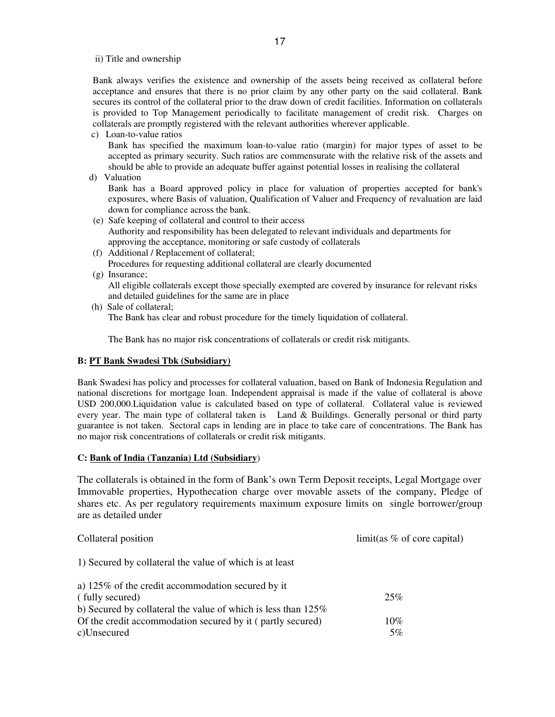ii) Title and ownership

Bank always verifies the existence and ownership of the assets being received as collateral before acceptance and ensures that there is no prior claim by any other party on the said collateral. Bank secures its control of the collateral prior to the draw down of credit facilities. Information on collaterals is provided to Top Management periodically to facilitate management of credit risk. Charges on collaterals are promptly registered with the relevant authorities wherever applicable.

c) Loan-to-value ratios

Bank has specified the maximum loan-to-value ratio (margin) for major types of asset to be accepted as primary security. Such ratios are commensurate with the relative risk of the assets and should be able to provide an adequate buffer against potential losses in realising the collateral

d) Valuation

Bank has a Board approved policy in place for valuation of properties accepted for bank's exposures, where Basis of valuation, Qualification of Valuer and Frequency of revaluation are laid down for compliance across the bank.

- (e) Safe keeping of collateral and control to their access Authority and responsibility has been delegated to relevant individuals and departments for approving the acceptance, monitoring or safe custody of collaterals
- (f) Additional / Replacement of collateral; Procedures for requesting additional collateral are clearly documented
- (g) Insurance;

All eligible collaterals except those specially exempted are covered by insurance for relevant risks and detailed guidelines for the same are in place

 (h) Sale of collateral; The Bank has clear and robust procedure for the timely liquidation of collateral.

The Bank has no major risk concentrations of collaterals or credit risk mitigants.

# **B: PT Bank Swadesi Tbk (Subsidiary)**

Bank Swadesi has policy and processes for collateral valuation, based on Bank of Indonesia Regulation and national discretions for mortgage loan. Independent appraisal is made if the value of collateral is above USD 200,000.Liquidation value is calculated based on type of collateral. Collateral value is reviewed every year. The main type of collateral taken is Land & Buildings. Generally personal or third party guarantee is not taken. Sectoral caps in lending are in place to take care of concentrations. The Bank has no major risk concentrations of collaterals or credit risk mitigants.

# **C: Bank of India (Tanzania) Ltd (Subsidiary**)

The collaterals is obtained in the form of Bank's own Term Deposit receipts, Legal Mortgage over Immovable properties, Hypothecation charge over movable assets of the company, Pledge of shares etc. As per regulatory requirements maximum exposure limits on single borrower/group are as detailed under

| Collateral position                                                                                                                      | limit(as % of core capital) |
|------------------------------------------------------------------------------------------------------------------------------------------|-----------------------------|
| 1) Secured by collateral the value of which is at least                                                                                  |                             |
| a) 125% of the credit accommodation secured by it<br>(fully secured)<br>b) Secured by collateral the value of which is less than $125\%$ | 25%                         |
| Of the credit accommodation secured by it (partly secured)<br>c)Unsecured                                                                | $10\%$<br>5%                |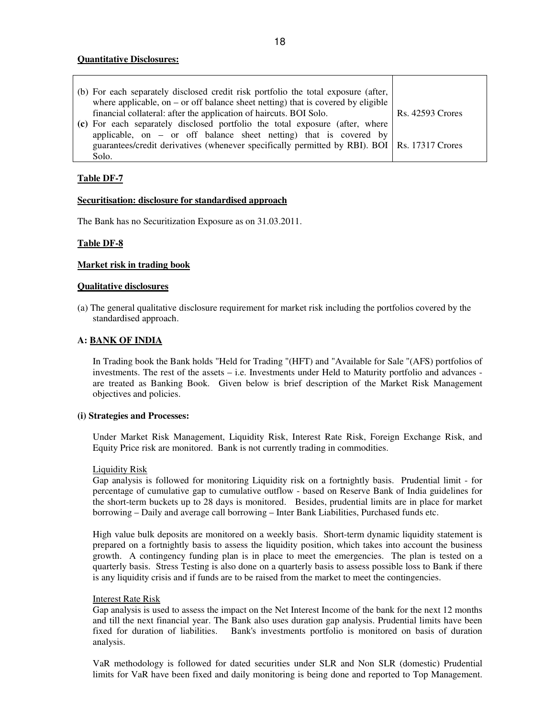### **Quantitative Disclosures:**

| (b) For each separately disclosed credit risk portfolio the total exposure (after,             |                         |
|------------------------------------------------------------------------------------------------|-------------------------|
| where applicable, on – or off balance sheet netting) that is covered by eligible               |                         |
| financial collateral: after the application of haircuts. BOI Solo.                             | <b>Rs. 42593 Crores</b> |
| (c) For each separately disclosed portfolio the total exposure (after, where                   |                         |
| applicable, on $-$ or off balance sheet netting) that is covered by                            |                         |
| guarantees/credit derivatives (whenever specifically permitted by RBI). BOI   Rs. 17317 Crores |                         |
| Solo.                                                                                          |                         |

# **Table DF-7**

### **Securitisation: disclosure for standardised approach**

The Bank has no Securitization Exposure as on 31.03.2011.

### **Table DF-8**

### **Market risk in trading book**

### **Qualitative disclosures**

(a) The general qualitative disclosure requirement for market risk including the portfolios covered by the standardised approach.

### **A: BANK OF INDIA**

In Trading book the Bank holds "Held for Trading "(HFT) and "Available for Sale "(AFS) portfolios of investments. The rest of the assets – i.e. Investments under Held to Maturity portfolio and advances are treated as Banking Book. Given below is brief description of the Market Risk Management objectives and policies.

#### **(i) Strategies and Processes:**

Under Market Risk Management, Liquidity Risk, Interest Rate Risk, Foreign Exchange Risk, and Equity Price risk are monitored. Bank is not currently trading in commodities.

#### Liquidity Risk

Gap analysis is followed for monitoring Liquidity risk on a fortnightly basis. Prudential limit - for percentage of cumulative gap to cumulative outflow - based on Reserve Bank of India guidelines for the short-term buckets up to 28 days is monitored. Besides, prudential limits are in place for market borrowing – Daily and average call borrowing – Inter Bank Liabilities, Purchased funds etc.

High value bulk deposits are monitored on a weekly basis. Short-term dynamic liquidity statement is prepared on a fortnightly basis to assess the liquidity position, which takes into account the business growth. A contingency funding plan is in place to meet the emergencies. The plan is tested on a quarterly basis. Stress Testing is also done on a quarterly basis to assess possible loss to Bank if there is any liquidity crisis and if funds are to be raised from the market to meet the contingencies.

#### Interest Rate Risk

Gap analysis is used to assess the impact on the Net Interest Income of the bank for the next 12 months and till the next financial year. The Bank also uses duration gap analysis. Prudential limits have been fixed for duration of liabilities. Bank's investments portfolio is monitored on basis of duration analysis.

VaR methodology is followed for dated securities under SLR and Non SLR (domestic) Prudential limits for VaR have been fixed and daily monitoring is being done and reported to Top Management.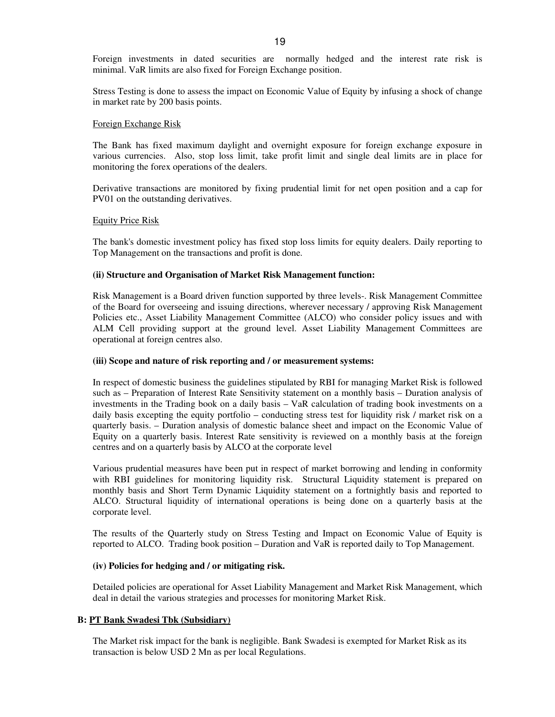Foreign investments in dated securities are normally hedged and the interest rate risk is minimal. VaR limits are also fixed for Foreign Exchange position.

Stress Testing is done to assess the impact on Economic Value of Equity by infusing a shock of change in market rate by 200 basis points.

#### Foreign Exchange Risk

The Bank has fixed maximum daylight and overnight exposure for foreign exchange exposure in various currencies. Also, stop loss limit, take profit limit and single deal limits are in place for monitoring the forex operations of the dealers.

Derivative transactions are monitored by fixing prudential limit for net open position and a cap for PV01 on the outstanding derivatives.

#### Equity Price Risk

The bank's domestic investment policy has fixed stop loss limits for equity dealers. Daily reporting to Top Management on the transactions and profit is done.

#### **(ii) Structure and Organisation of Market Risk Management function:**

Risk Management is a Board driven function supported by three levels-. Risk Management Committee of the Board for overseeing and issuing directions, wherever necessary / approving Risk Management Policies etc., Asset Liability Management Committee (ALCO) who consider policy issues and with ALM Cell providing support at the ground level. Asset Liability Management Committees are operational at foreign centres also.

#### **(iii) Scope and nature of risk reporting and / or measurement systems:**

In respect of domestic business the guidelines stipulated by RBI for managing Market Risk is followed such as – Preparation of Interest Rate Sensitivity statement on a monthly basis – Duration analysis of investments in the Trading book on a daily basis – VaR calculation of trading book investments on a daily basis excepting the equity portfolio – conducting stress test for liquidity risk / market risk on a quarterly basis. – Duration analysis of domestic balance sheet and impact on the Economic Value of Equity on a quarterly basis. Interest Rate sensitivity is reviewed on a monthly basis at the foreign centres and on a quarterly basis by ALCO at the corporate level

Various prudential measures have been put in respect of market borrowing and lending in conformity with RBI guidelines for monitoring liquidity risk. Structural Liquidity statement is prepared on monthly basis and Short Term Dynamic Liquidity statement on a fortnightly basis and reported to ALCO. Structural liquidity of international operations is being done on a quarterly basis at the corporate level.

The results of the Quarterly study on Stress Testing and Impact on Economic Value of Equity is reported to ALCO. Trading book position – Duration and VaR is reported daily to Top Management.

#### **(iv) Policies for hedging and / or mitigating risk.**

Detailed policies are operational for Asset Liability Management and Market Risk Management, which deal in detail the various strategies and processes for monitoring Market Risk.

### **B: PT Bank Swadesi Tbk (Subsidiary)**

The Market risk impact for the bank is negligible. Bank Swadesi is exempted for Market Risk as its transaction is below USD 2 Mn as per local Regulations.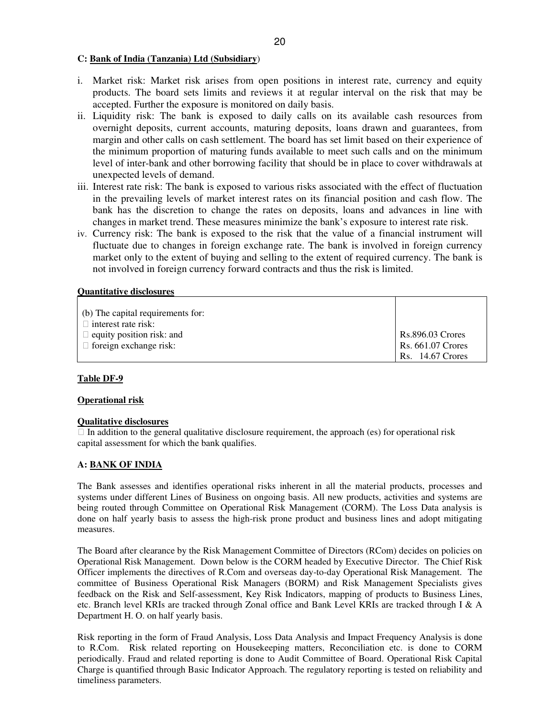### **C: Bank of India (Tanzania) Ltd (Subsidiary**)

- i. Market risk: Market risk arises from open positions in interest rate, currency and equity products. The board sets limits and reviews it at regular interval on the risk that may be accepted. Further the exposure is monitored on daily basis.
- ii. Liquidity risk: The bank is exposed to daily calls on its available cash resources from overnight deposits, current accounts, maturing deposits, loans drawn and guarantees, from margin and other calls on cash settlement. The board has set limit based on their experience of the minimum proportion of maturing funds available to meet such calls and on the minimum level of inter-bank and other borrowing facility that should be in place to cover withdrawals at unexpected levels of demand.
- iii. Interest rate risk: The bank is exposed to various risks associated with the effect of fluctuation in the prevailing levels of market interest rates on its financial position and cash flow. The bank has the discretion to change the rates on deposits, loans and advances in line with changes in market trend. These measures minimize the bank's exposure to interest rate risk.
- iv. Currency risk: The bank is exposed to the risk that the value of a financial instrument will fluctuate due to changes in foreign exchange rate. The bank is involved in foreign currency market only to the extent of buying and selling to the extent of required currency. The bank is not involved in foreign currency forward contracts and thus the risk is limited.

### **Quantitative disclosures**

| (b) The capital requirements for:<br>interest rate risk: |                         |
|----------------------------------------------------------|-------------------------|
| equity position risk: and                                | <b>Rs.896.03 Crores</b> |
| foreign exchange risk:                                   | Rs. 661.07 Crores       |
|                                                          | <b>Rs.</b> 14.67 Crores |

# **Table DF-9**

#### **Operational risk**

#### **Qualitative disclosures**

 In addition to the general qualitative disclosure requirement, the approach (es) for operational risk capital assessment for which the bank qualifies.

# **A: BANK OF INDIA**

The Bank assesses and identifies operational risks inherent in all the material products, processes and systems under different Lines of Business on ongoing basis. All new products, activities and systems are being routed through Committee on Operational Risk Management (CORM). The Loss Data analysis is done on half yearly basis to assess the high-risk prone product and business lines and adopt mitigating measures.

The Board after clearance by the Risk Management Committee of Directors (RCom) decides on policies on Operational Risk Management. Down below is the CORM headed by Executive Director. The Chief Risk Officer implements the directives of R.Com and overseas day-to-day Operational Risk Management. The committee of Business Operational Risk Managers (BORM) and Risk Management Specialists gives feedback on the Risk and Self-assessment, Key Risk Indicators, mapping of products to Business Lines, etc. Branch level KRIs are tracked through Zonal office and Bank Level KRIs are tracked through I & A Department H. O. on half yearly basis.

Risk reporting in the form of Fraud Analysis, Loss Data Analysis and Impact Frequency Analysis is done to R.Com. Risk related reporting on Housekeeping matters, Reconciliation etc. is done to CORM periodically. Fraud and related reporting is done to Audit Committee of Board. Operational Risk Capital Charge is quantified through Basic Indicator Approach. The regulatory reporting is tested on reliability and timeliness parameters.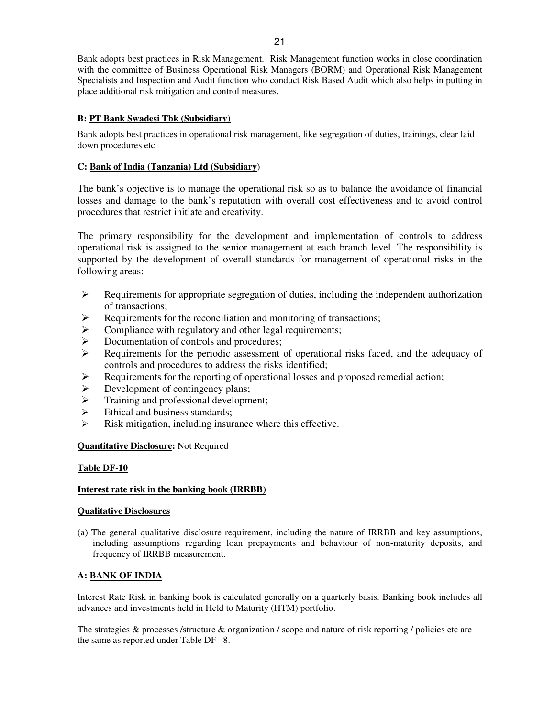Bank adopts best practices in Risk Management. Risk Management function works in close coordination with the committee of Business Operational Risk Managers (BORM) and Operational Risk Management Specialists and Inspection and Audit function who conduct Risk Based Audit which also helps in putting in place additional risk mitigation and control measures.

# **B: PT Bank Swadesi Tbk (Subsidiary)**

Bank adopts best practices in operational risk management, like segregation of duties, trainings, clear laid down procedures etc

# **C: Bank of India (Tanzania) Ltd (Subsidiary**)

The bank's objective is to manage the operational risk so as to balance the avoidance of financial losses and damage to the bank's reputation with overall cost effectiveness and to avoid control procedures that restrict initiate and creativity.

The primary responsibility for the development and implementation of controls to address operational risk is assigned to the senior management at each branch level. The responsibility is supported by the development of overall standards for management of operational risks in the following areas:-

- $\triangleright$  Requirements for appropriate segregation of duties, including the independent authorization of transactions;
- $\triangleright$  Requirements for the reconciliation and monitoring of transactions;
- $\triangleright$  Compliance with regulatory and other legal requirements;
- $\triangleright$  Documentation of controls and procedures;
- Requirements for the periodic assessment of operational risks faced, and the adequacy of controls and procedures to address the risks identified;
- $\triangleright$  Requirements for the reporting of operational losses and proposed remedial action;
- $\triangleright$  Development of contingency plans;
- $\triangleright$  Training and professional development;
- $\triangleright$  Ethical and business standards;
- $\triangleright$  Risk mitigation, including insurance where this effective.

# **Quantitative Disclosure:** Not Required

# **Table DF-10**

# **Interest rate risk in the banking book (IRRBB)**

# **Qualitative Disclosures**

(a) The general qualitative disclosure requirement, including the nature of IRRBB and key assumptions, including assumptions regarding loan prepayments and behaviour of non-maturity deposits, and frequency of IRRBB measurement.

# **A: BANK OF INDIA**

Interest Rate Risk in banking book is calculated generally on a quarterly basis. Banking book includes all advances and investments held in Held to Maturity (HTM) portfolio.

The strategies & processes /structure & organization / scope and nature of risk reporting / policies etc are the same as reported under Table DF –8.